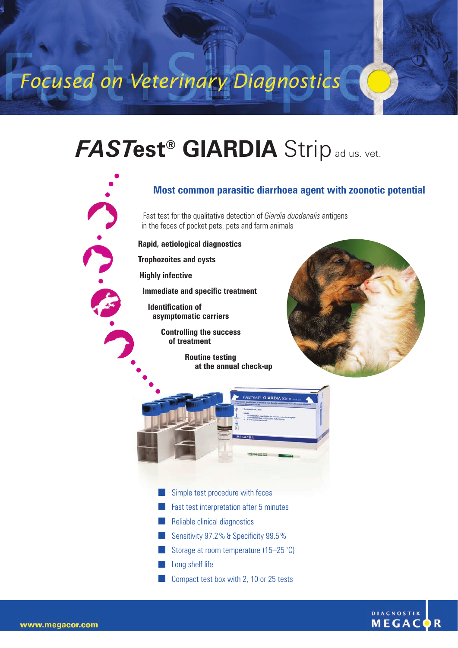## Focused on Veterinary Diagnostics

## *FAST***est® GIARDIA** Strip ad us. vet.

## **Most common parasitic diarrhoea agent with zoonotic potential**

Fast test for the qualitative detection of *Giardia duodenalis* antigens in the feces of pocket pets, pets and farm animals

**Rapid, aetiological diagnostics**

**Trophozoites and cysts**

**Highly infective**

C. C. S.

**Immediate and specific treatment** 

**Identification of asymptomatic carriers**

> **Controlling the success of treatment**

> > **Routine testing at the annual check-up**





- Simple test procedure with feces
- **Fast test interpretation after 5 minutes**
- **Reliable clinical diagnostics**
- Sensitivity 97.2% & Specificity 99.5%
- Storage at room temperature  $(15-25 \degree C)$
- **Long shelf life**
- **Compact test box with 2, 10 or 25 tests**